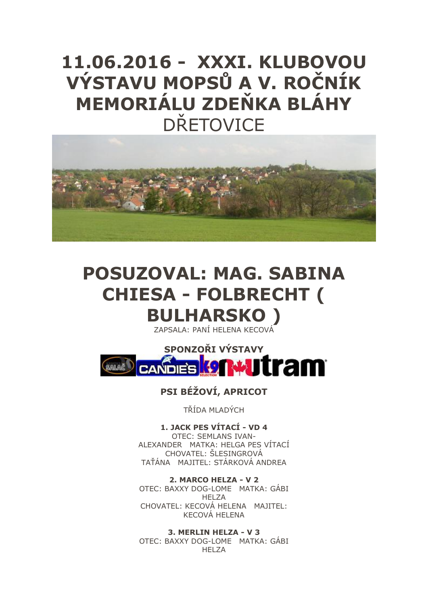## **11.06.2016 - XXXI. KLUBOVOU VÝSTAVU MOPSŮ A V. ROČNÍK MEMORIÁLU ZDEŇKA BLÁHY DŘETOVICE**



# **POSUZOVAL: MAG. SABINA CHIESA - FOLBRECHT (**

## **BULHARSKO )** ZAPSALA: PANÍ HELENA KECOVÁ



## **PSI BÉŽOVÍ, APRICOT**

TŘÍDA MLADÝCH

**1. JACK PES VÍTACÍ - VD 4**  OTEC: SEMLANS IVAN-ALEXANDER MATKA: HELGA PES VÍTACÍ CHOVATEL: ŠLESINGROVÁ TAŤÁNA MAJITEL: STÁRKOVÁ ANDREA

**2. MARCO HELZA - V 2** OTEC: BAXXY DOG-LOME MATKA: GÁBI HELZA CHOVATEL: KECOVÁ HELENA MAJITEL: KECOVÁ HELENA

**3. MERLIN HELZA - V 3**  OTEC: BAXXY DOG-LOME MATKA: GÁBI HFI 7A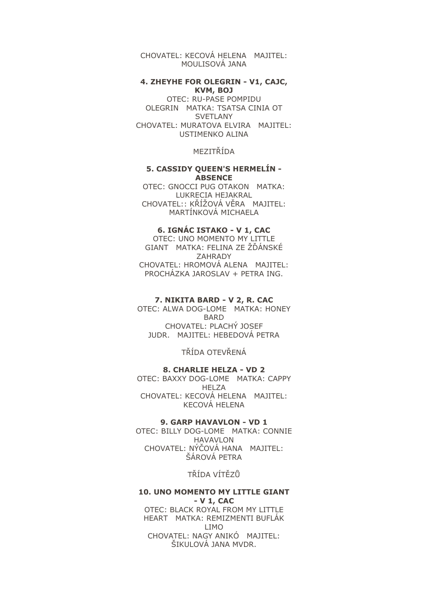CHOVATEL: KECOVÁ HELENA MAJITEL: MOULISOVÁ JANA

#### **4. ZHEYHE FOR OLEGRIN - V1, CAJC, KVM, BOJ**

OTEC: RU-PASE POMPIDU OLEGRIN MATKA: TSATSA CINIA OT **SVETLANY** CHOVATEL: MURATOVA ELVIRA MAJITEL: USTIMENKO ALINA

MEZITŘÍDA

#### **5. CASSIDY QUEEN'S HERMELÍN - ABSENCE**

OTEC: GNOCCI PUG OTAKON MATKA: LUKRECIA HEJAKRAL CHOVATEL:: KŘÍŽOVÁ VĚRA MAJITEL: MARTÍNKOVÁ MICHAELA

#### **6. IGNÁC ISTAKO - V 1, CAC**

OTEC: UNO MOMENTO MY LITTLE GIANT MATKA: FELINA ZE ŽĎÁNSKÉ ZAHRADY CHOVATEL: HROMOVÁ ALENA MAJITEL: PROCHÁZKA JAROSLAV + PETRA ING.

#### **7. NIKITA BARD - V 2, R. CAC**

OTEC: ALWA DOG-LOME MATKA: HONEY BARD CHOVATEL: PLACHÝ JOSEF JUDR. MAJITEL: HEBEDOVÁ PETRA

TŘÍDA OTEVŘENÁ

#### **8. CHARLIE HELZA - VD 2**

OTEC: BAXXY DOG-LOME MATKA: CAPPY HELZA CHOVATEL: KECOVÁ HELENA MAJITEL: KECOVÁ HELENA

#### **9. GARP HAVAVLON - VD 1**

OTEC: BILLY DOG-LOME MATKA: CONNIE HAVAVLON CHOVATEL: NÝČOVÁ HANA MAJITEL: ŠÁROVÁ PETRA

TŘÍDA VÍTĚZŮ

#### **10. UNO MOMENTO MY LITTLE GIANT - V 1, CAC**

OTEC: BLACK ROYAL FROM MY LITTLE HEART MATKA: REMIZMENTI BUFLÁK LIMO CHOVATEL: NAGY ANIKÓ MAJITEL: ŠIKULOVÁ JANA MVDR.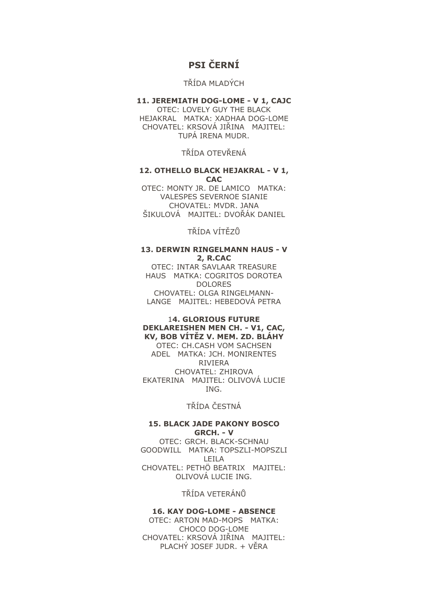## **PSI ČERNÍ**

## TŘÍDA MLADÝCH

#### **11. JEREMIATH DOG-LOME - V 1, CAJC**  OTEC: LOVELY GUY THE BLACK HEJAKRAL MATKA: XADHAA DOG-LOME

CHOVATEL: KRSOVÁ JIŘINA MAJITEL: TUPÁ IRENA MUDR.

TŘÍDA OTEVŘENÁ

#### **12. OTHELLO BLACK HEJAKRAL - V 1, CAC**

OTEC: MONTY JR. DE LAMICO MATKA: VALESPES SEVERNOE SIANIE CHOVATEL: MVDR. JANA ŠIKULOVÁ MAJITEL: DVOŘÁK DANIEL

TŘÍDA VÍTĚZŮ

#### **13. DERWIN RINGELMANN HAUS - V 2, R.CAC**

OTEC: INTAR SAVLAAR TREASURE HAUS MATKA: COGRITOS DOROTEA DOLORES CHOVATEL: OLGA RINGELMANN-LANGE MAJITEL: HEBEDOVÁ PETRA

#### 1**4. GLORIOUS FUTURE DEKLAREISHEN MEN CH. - V1, CAC, KV, BOB VÍTĚZ V. MEM. ZD. BLÁHY**

OTEC: CH.CASH VOM SACHSEN ADEL MATKA: JCH. MONIRENTES RIVIERA CHOVATEL: ZHIROVA EKATERINA MAJITEL: OLIVOVÁ LUCIE ING.

## TŘÍDA ČESTNÁ

#### **15. BLACK JADE PAKONY BOSCO GRCH. - V**

OTEC: GRCH. BLACK-SCHNAU GOODWILL MATKA: TOPSZLI-MOPSZLI LEILA CHOVATEL: PETHÖ BEATRIX MAJITEL: OLIVOVÁ LUCIE ING.

TŘÍDA VETERÁNŮ

#### **16. KAY DOG-LOME - ABSENCE**

OTEC: ARTON MAD-MOPS MATKA: CHOCO DOG-LOME CHOVATEL: KRSOVÁ JIŘINA MAJITEL: PLACHÝ JOSEF JUDR. + VĚRA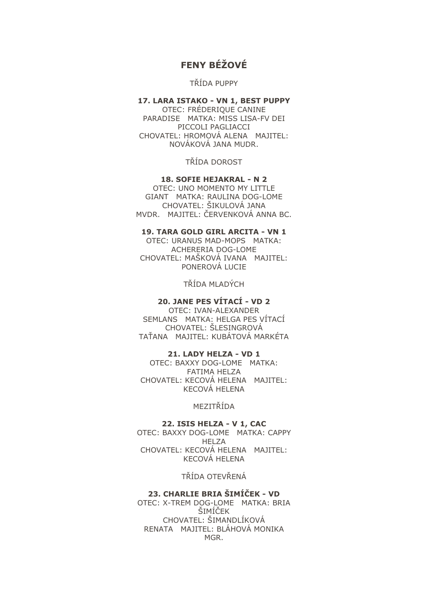## **FENY BÉŽOVÉ**

#### TŘÍDA PUPPY

#### **17. LARA ISTAKO - VN 1, BEST PUPPY**  OTEC: FRÉDERIQUE CANINE

PARADISE MATKA: MISS LISA-FV DEI PICCOLI PAGLIACCI CHOVATEL: HROMOVÁ ALENA MAJITEL: NOVÁKOVÁ JANA MUDR.

TŘÍDA DOROST

#### **18. SOFIE HEJAKRAL - N 2**

OTEC: UNO MOMENTO MY LITTLE GIANT MATKA: RAULINA DOG-LOME CHOVATEL: ŠIKULOVÁ JANA MVDR. MAJITEL: ČERVENKOVÁ ANNA BC.

#### **19. TARA GOLD GIRL ARCITA - VN 1**

OTEC: URANUS MAD-MOPS MATKA: ACHERERIA DOG-LOME CHOVATEL: MAŠKOVÁ IVANA MAJITEL: PONEROVÁ LUCIE

TŘÍDA MLADÝCH

## **20. JANE PES VÍTACÍ - VD 2**

OTEC: IVAN-ALEXANDER SEMLANS MATKA: HELGA PES VÍTACÍ CHOVATEL: ŠLESINGROVÁ TAŤANA MAJITEL: KUBÁTOVÁ MARKÉTA

#### **21. LADY HELZA - VD 1**

OTEC: BAXXY DOG-LOME MATKA: FATIMA HELZA CHOVATEL: KECOVÁ HELENA MAJITEL: KECOVÁ HELENA

#### MEZITŘÍDA

#### **22. ISIS HELZA - V 1, CAC**

OTEC: BAXXY DOG-LOME MATKA: CAPPY HELZA CHOVATEL: KECOVÁ HELENA MAJITEL: KECOVÁ HELENA

#### TŘÍDA OTEVŘENÁ

#### **23. CHARLIE BRIA ŠIMÍČEK - VD**

OTEC: X-TREM DOG-LOME MATKA: BRIA ŠIMÍČEK CHOVATEL: ŠIMANDLÍKOVÁ RENATA MAJITEL: BLÁHOVÁ MONIKA MGR.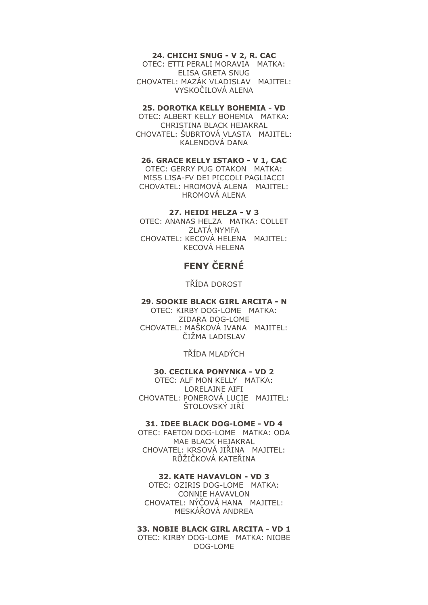#### **24. CHICHI SNUG - V 2, R. CAC**

OTEC: ETTI PERALI MORAVIA MATKA: ELISA GRETA SNUG CHOVATEL: MAZÁK VLADISLAV MAJITEL: VYSKOČILOVÁ ALENA

#### **25. DOROTKA KELLY BOHEMIA - VD**

OTEC: ALBERT KELLY BOHEMIA MATKA: CHRISTINA BLACK HEJAKRAL CHOVATEL: ŠUBRTOVÁ VLASTA MAJITEL: KALENDOVÁ DANA

#### **26. GRACE KELLY ISTAKO - V 1, CAC**

OTEC: GERRY PUG OTAKON MATKA: MISS LISA-FV DEI PICCOLI PAGLIACCI CHOVATEL: HROMOVÁ ALENA MAJITEL: HROMOVÁ ALENA

#### **27. HEIDI HELZA - V 3**

OTEC: ANANAS HELZA MATKA: COLLET ZLATÁ NYMFA CHOVATEL: KECOVÁ HELENA MAJITEL: KECOVÁ HELENA

## **FENY ČERNÉ**

TŘÍDA DOROST

#### **29. SOOKIE BLACK GIRL ARCITA - N**

OTEC: KIRBY DOG-LOME MATKA: ZIDARA DOG-LOME CHOVATEL: MAŠKOVÁ IVANA MAJITEL: ČIŽMA LADISLAV

TŘÍDA MLADÝCH

#### **30. CECILKA PONYNKA - VD 2**

OTEC: ALF MON KELLY MATKA: LORELAINE AIFI CHOVATEL: PONEROVÁ LUCIE MAJITEL: ŠTOLOVSKÝ JIŘÍ

#### **31. IDEE BLACK DOG-LOME - VD 4**

OTEC: FAETON DOG-LOME MATKA: ODA MAE BLACK HEJAKRAL CHOVATEL: KRSOVÁ JIŘINA MAJITEL: RŮŽIČKOVÁ KATEŘINA

#### **32. KATE HAVAVLON - VD 3**

OTEC: OZIRIS DOG-LOME MATKA: CONNIE HAVAVLON CHOVATEL: NÝČOVÁ HANA MAJITEL: MESKÁŘOVÁ ANDREA

#### **33. NOBIE BLACK GIRL ARCITA - VD 1**

OTEC: KIRBY DOG-LOME MATKA: NIOBE DOG-LOME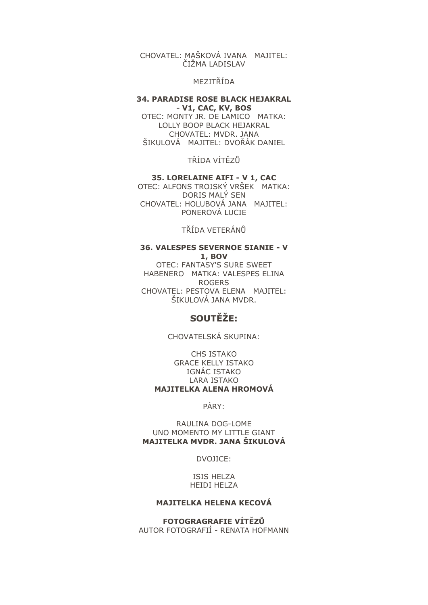#### CHOVATEL: MAŠKOVÁ IVANA MAJITEL: ČIŽMA LADISLAV

#### MEZITŘÍDA

#### **34. PARADISE ROSE BLACK HEJAKRAL - V1, CAC, KV, BOS**

OTEC: MONTY JR. DE LAMICO MATKA: LOLLY BOOP BLACK HEJAKRAL CHOVATEL: MVDR. JANA ŠIKULOVÁ MAJITEL: DVOŘÁK DANIEL

TŘÍDA VÍTĚZŮ

#### **35. LORELAINE AIFI - V 1, CAC**

OTEC: ALFONS TROJSKÝ VRŠEK MATKA: DORIS MALÝ SEN CHOVATEL: HOLUBOVÁ JANA MAJITEL: PONEROVÁ LUCIE

TŘÍDA VETERÁNŮ

#### **36. VALESPES SEVERNOE SIANIE - V 1, BOV**

OTEC: FANTASY'S SURE SWEET HABENERO MATKA: VALESPES ELINA ROGERS CHOVATEL: PESTOVA ELENA MAJITEL: ŠIKULOVÁ JANA MVDR.

## **SOUTĚŽE:**

#### CHOVATELSKÁ SKUPINA:

CHS ISTAKO GRACE KELLY ISTAKO IGNÁC ISTAKO LARA ISTAKO **MAJITELKA ALENA HROMOVÁ**

PÁRY:

RAULINA DOG-LOME UNO MOMENTO MY LITTLE GIANT **MAJITELKA MVDR. JANA ŠIKULOVÁ**

DVOJICE:

ISIS HELZA HEIDI HELZA

#### **MAJITELKA HELENA KECOVÁ**

**FOTOGRAGRAFIE VÍTĚZŮ** AUTOR FOTOGRAFIÍ - RENATA HOFMANN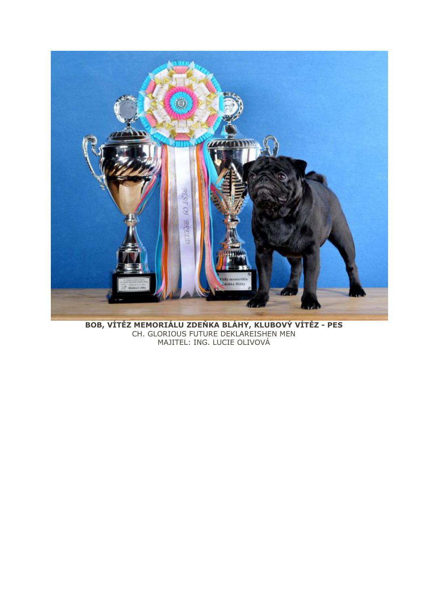

BOB, VÍTĚZ MEMORIÁLU ZDEŇKA BLÁHY, KLUBOVÝ VÍTĚZ - PES<br>CH. GLORIOUS FUTURE DEKLAREISHEN MEN MAJITEL: ING. LUCIE OLIVOVÁ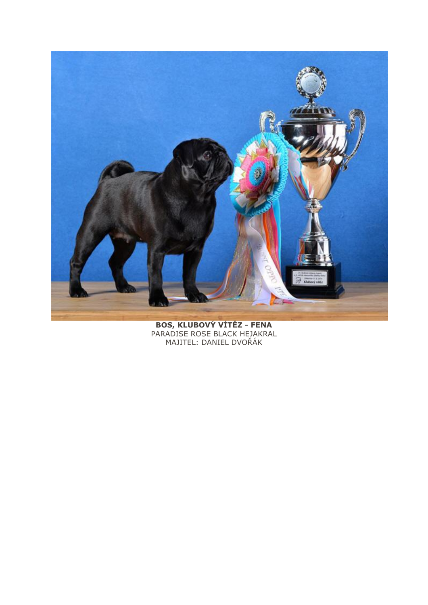

BOS, KLUBOVÝ VÍTĚZ - FENA<br>PARADISE ROSE BLACK HEJAKRAL<br>MAJITEL: DANIEL DVOŘÁK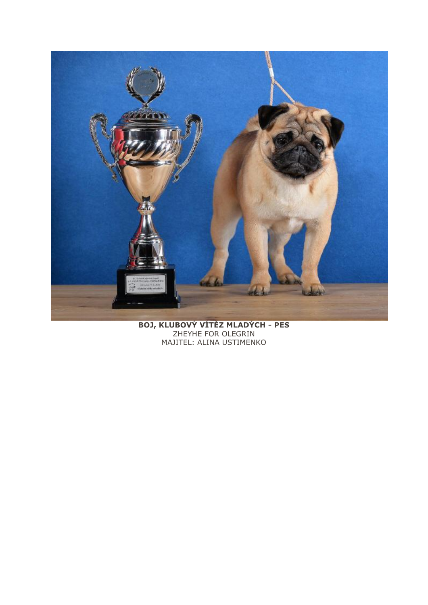

BOJ, KLUBOVÝ VÍTĚZ MLADÝCH - PES<br>ZHEYHE FOR OLEGRIN MAJITEL: ALINA USTIMENKO